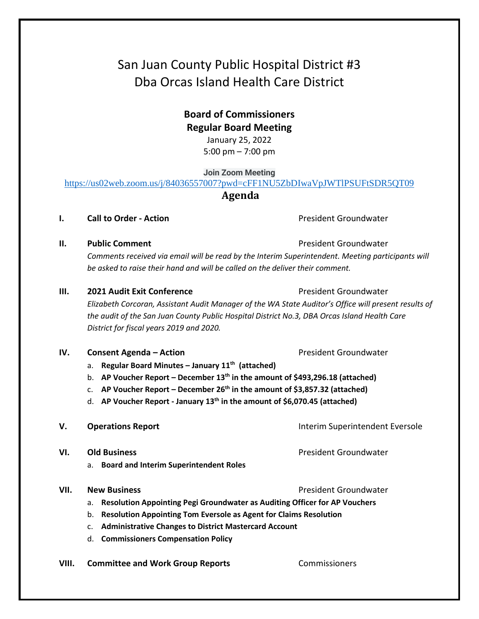# San Juan County Public Hospital District #3 Dba Orcas Island Health Care District

## **Board of Commissioners Regular Board Meeting**

January 25, 2022 5:00 pm – 7:00 pm

**Join Zoom Meeting**

<https://us02web.zoom.us/j/84036557007?pwd=cFF1NU5ZbDIwaVpJWTlPSUFtSDR5QT09>

### **Agenda**

**I. Call to Order - Action Call to Order - Action President Groundwater** 

### **II. Public Comment President Groundwater President Groundwater**

*Comments received via email will be read by the Interim Superintendent. Meeting participants will be asked to raise their hand and will be called on the deliver their comment.*

### **III. 2021 Audit Exit Conference Conference President Groundwater**

*Elizabeth Corcoran, Assistant Audit Manager of the WA State Auditor's Office will present results of the audit of the San Juan County Public Hospital District No.3, DBA Orcas Island Health Care District for fiscal years 2019 and 2020.* 

### **IV. Consent Agenda – Action Consexual Action President Groundwater**

- a. **Regular Board Minutes – January 11th (attached)**
- b. **AP Voucher Report – December 13th in the amount of \$493,296.18 (attached)**
- c. **AP Voucher Report – December 26th in the amount of \$3,857.32 (attached)**
- d. **AP Voucher Report - January 13th in the amount of \$6,070.45 (attached)**

### **V. Operations Report Interim Superintendent Eversole**

- **VI. Old Business President Groundwater President Groundwater** 
	- a. **Board and Interim Superintendent Roles**

### **VII.** New Business **President Groundwater** President Groundwater

- a. **Resolution Appointing Pegi Groundwater as Auditing Officer for AP Vouchers**
- b. **Resolution Appointing Tom Eversole as Agent for Claims Resolution**
- c. **Administrative Changes to District Mastercard Account**
- d. **Commissioners Compensation Policy**
- **VIII. Committee and Work Group Reports Commissioners**